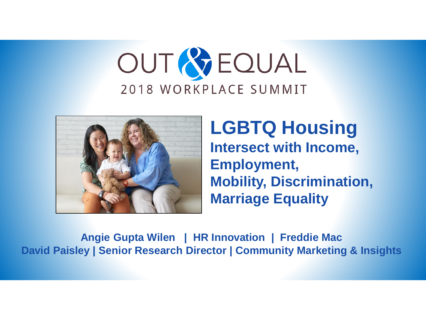# OUT & EQUAL 2018 WORKPLACE SUMMIT



**LGBTQ Housing Intersect with Income, Employment, Mobility, Discrimination, Marriage Equality**

**Angie Gupta Wilen | HR Innovation | Freddie Mac David Paisley | Senior Research Director | Community Marketing & Insights**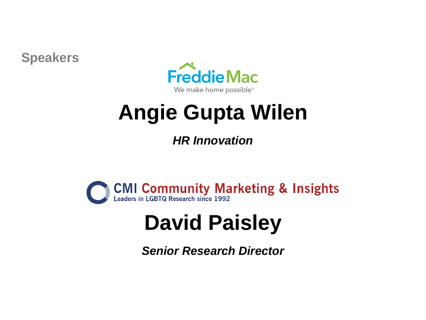**Speakers**



# **Angie Gupta Wilen**

*HR Innovation*



# **David Paisley**

*Senior Research Director*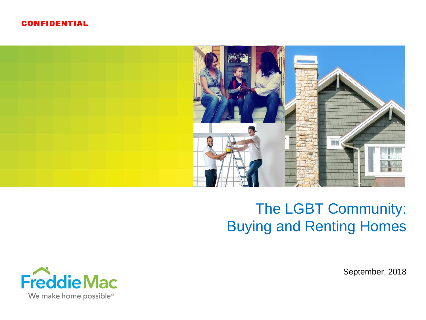#### CONFIDENTIAL



## The LGBT Community: Buying and Renting Homes



September, 2018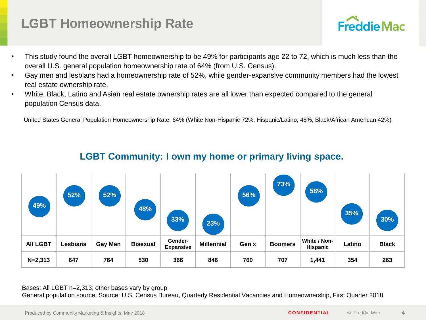### **LGBT Homeownership Rate**

- This study found the overall LGBT homeownership to be 49% for participants age 22 to 72, which is much less than the overall U.S. general population homeownership rate of 64% (from U.S. Census).
- Gay men and lesbians had a homeownership rate of 52%, while gender-expansive community members had the lowest real estate ownership rate.
- White, Black, Latino and Asian real estate ownership rates are all lower than expected compared to the general population Census data.

United States General Population Homeownership Rate: 64% (White Non-Hispanic 72%, Hispanic/Latino, 48%, Black/African American 42%)



### **LGBT Community: I own my home or primary living space.**

Bases: All LGBT n=2,313; other bases vary by group General population source: Source: U.S. Census Bureau, Quarterly Residential Vacancies and Homeownership, First Quarter 2018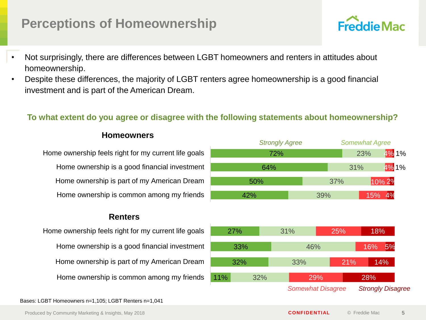### **Perceptions of Homeownership**

- Not surprisingly, there are differences between LGBT homeowners and renters in attitudes about homeownership.
- Despite these differences, the majority of LGBT renters agree homeownership is a good financial investment and is part of the American Dream.

### **To what extent do you agree or disagree with the following statements about homeownership?**

#### **Homeowners**

Home ownership feels right for my current life goals Home ownership is a good financial investment Home ownership is part of my American Dream Home ownership is common among my friends

#### **Renters**

Home ownership feels right for my current life goals Home ownership is a good financial investment Home ownership is part of my American Dream Home ownership is common among my friends



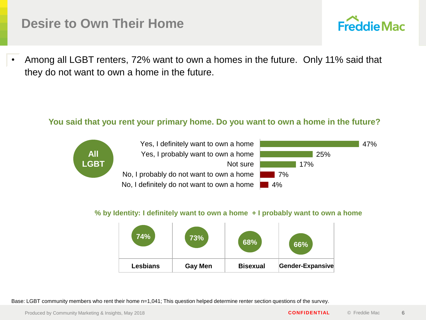### **Desire to Own Their Home**

• Among all LGBT renters, 72% want to own a homes in the future. Only 11% said that they do not want to own a home in the future.

#### **You said that you rent your primary home. Do you want to own a home in the future?**



#### **% by Identity: I definitely want to own a home + I probably want to own a home**



Base: LGBT community members who rent their home n=1,041; This question helped determine renter section questions of the survey.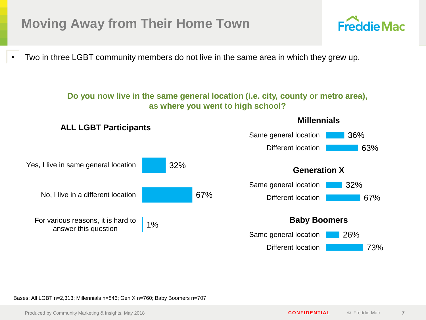### **Moving Away from Their Home Town**

• Two in three LGBT community members do not live in the same area in which they grew up.

#### **Do you now live in the same general location (i.e. city, county or metro area), as where you went to high school?**



Bases: All LGBT n=2,313; Millennials n=846; Gen X n=760; Baby Boomers n=707

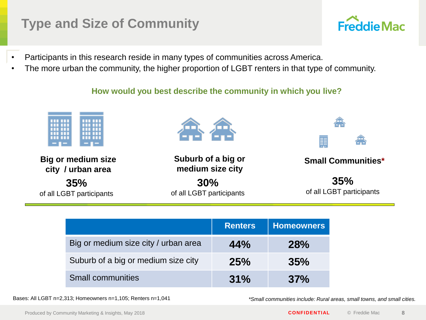### **Type and Size of Community**

- Participants in this research reside in many types of communities across America.
- The more urban the community, the higher proportion of LGBT renters in that type of community.

**How would you best describe the community in which you live?** 



|                                      | <b>Renters</b> | <b>Homeowners</b> |
|--------------------------------------|----------------|-------------------|
| Big or medium size city / urban area | 44%            | <b>28%</b>        |
| Suburb of a big or medium size city  | 25%            | 35%               |
| <b>Small communities</b>             | 31%            | 37%               |

Bases: All LGBT n=2,313; Homeowners n=1,105; Renters n=1,041 *\*Small communities include: Rural areas, small towns, and small cities.*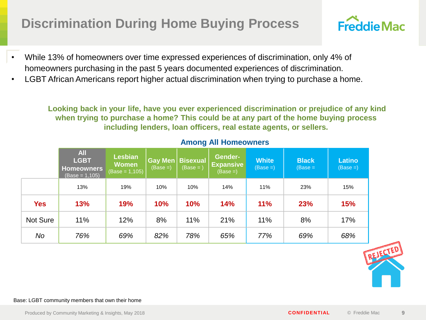### **Discrimination During Home Buying Process**

- While 13% of homeowners over time expressed experiences of discrimination, only 4% of homeowners purchasing in the past 5 years documented experiences of discrimination.
- LGBT African Americans report higher actual discrimination when trying to purchase a home.

**Looking back in your life, have you ever experienced discrimination or prejudice of any kind when trying to purchase a home? This could be at any part of the home buying process including lenders, loan officers, real estate agents, or sellers.**

|                 | <b>All</b><br><b>LGBT</b><br><b>Homeowners</b><br>$(Base = 1,105)$ | <b>Lesbian</b><br><b>Women</b><br>$(Base = 1,105)$ | <b>Gay Men</b><br>$(Base =)$ | <b>Bisexual</b><br>$(Base = )$ | <b>Gender-</b><br><b>Expansive</b><br>$(Base =)$ | <b>White</b><br>$(Base =)$ | <b>Black</b><br>$(Base =$ | <b>Latino</b><br>$(Base =)$ |
|-----------------|--------------------------------------------------------------------|----------------------------------------------------|------------------------------|--------------------------------|--------------------------------------------------|----------------------------|---------------------------|-----------------------------|
|                 | 13%                                                                | 19%                                                | 10%                          | 10%                            | 14%                                              | 11%                        | 23%                       | 15%                         |
| <b>Yes</b>      | 13%                                                                | 19%                                                | <b>10%</b>                   | 10%                            | 14%                                              | 11%                        | 23%                       | <b>15%</b>                  |
| <b>Not Sure</b> | 11%                                                                | 12%                                                | 8%                           | 11%                            | 21%                                              | 11%                        | 8%                        | 17%                         |
| No              | 76%                                                                | 69%                                                | 82%                          | 78%                            | 65%                                              | 77%                        | 69%                       | 68%                         |

#### **Among All Homeowners**

#### Base: LGBT community members that own their home

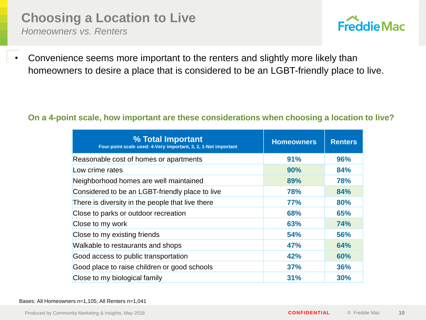### **Choosing a Location to Live**

*Homeowners vs. Renters*



• Convenience seems more important to the renters and slightly more likely than homeowners to desire a place that is considered to be an LGBT-friendly place to live.

#### **On a 4-point scale, how important are these considerations when choosing a location to live?**

| % Total Important<br>Four-point scale used: 4-Very important, 3, 2, 1-Not important | <b>Homeowners</b> | <b>Renters</b> |
|-------------------------------------------------------------------------------------|-------------------|----------------|
| Reasonable cost of homes or apartments                                              | 91%               | 96%            |
| Low crime rates                                                                     | 90%               | 84%            |
| Neighborhood homes are well maintained                                              | 89%               | 78%            |
| Considered to be an LGBT-friendly place to live                                     | 78%               | 84%            |
| There is diversity in the people that live there                                    | <b>77%</b>        | 80%            |
| Close to parks or outdoor recreation                                                | 68%               | 65%            |
| Close to my work                                                                    | 63%               | <b>74%</b>     |
| Close to my existing friends                                                        | 54%               | 56%            |
| Walkable to restaurants and shops                                                   | <b>47%</b>        | 64%            |
| Good access to public transportation                                                | 42%               | 60%            |
| Good place to raise children or good schools                                        | 37%               | 36%            |
| Close to my biological family                                                       | 31%               | 30%            |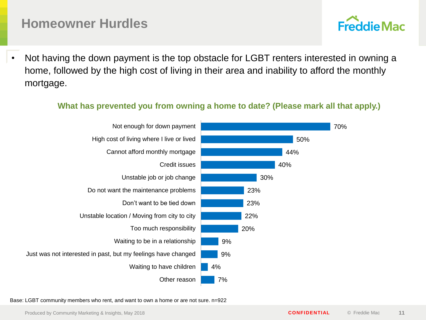### **Homeowner Hurdles**

• Not having the down payment is the top obstacle for LGBT renters interested in owning a home, followed by the high cost of living in their area and inability to afford the monthly mortgage.

#### **What has prevented you from owning a home to date? (Please mark all that apply.)**



Base: LGBT community members who rent, and want to own a home or are not sure. n=922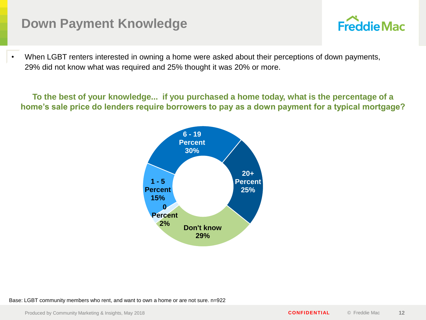### **Down Payment Knowledge**

## **Freddie Mac**

When LGBT renters interested in owning a home were asked about their perceptions of down payments, 29% did not know what was required and 25% thought it was 20% or more.

**To the best of your knowledge... if you purchased a home today, what is the percentage of a home's sale price do lenders require borrowers to pay as a down payment for a typical mortgage?**



Base: LGBT community members who rent, and want to own a home or are not sure. n=922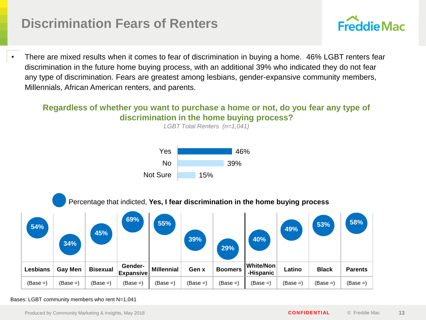### **Discrimination Fears of Renters**



• There are mixed results when it comes to fear of discrimination in buying a home. 46% LGBT renters fear discrimination in the future home buying process, with an additional 39% who indicated they do not fear any type of discrimination. Fears are greatest among lesbians, gender-expansive community members, Millennials, African American renters, and parents.

### **Regardless of whether you want to purchase a home or not, do you fear any type of discrimination in the home buying process?**



#### Bases: LGBT community members who rent N=1,041

Produced by Community Marketing & Insights, May 2018 **CONFIDENTIAL** © Freddie Mac **13**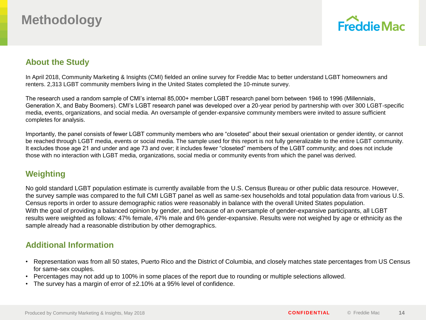### **Methodology**



#### **About the Study**

In April 2018, Community Marketing & Insights (CMI) fielded an online survey for Freddie Mac to better understand LGBT homeowners and renters. 2,313 LGBT community members living in the United States completed the 10-minute survey.

The research used a random sample of CMI's internal 85,000+ member LGBT research panel born between 1946 to 1996 (Millennials, Generation X, and Baby Boomers). CMI's LGBT research panel was developed over a 20-year period by partnership with over 300 LGBT-specific media, events, organizations, and social media. An oversample of gender-expansive community members were invited to assure sufficient completes for analysis.

Importantly, the panel consists of fewer LGBT community members who are "closeted" about their sexual orientation or gender identity, or cannot be reached through LGBT media, events or social media. The sample used for this report is not fully generalizable to the entire LGBT community. It excludes those age 21 and under and age 73 and over; it includes fewer "closeted" members of the LGBT community; and does not include those with no interaction with LGBT media, organizations, social media or community events from which the panel was derived.

### **Weighting**

No gold standard LGBT population estimate is currently available from the U.S. Census Bureau or other public data resource. However, the survey sample was compared to the full CMI LGBT panel as well as same-sex households and total population data from various U.S. Census reports in order to assure demographic ratios were reasonably in balance with the overall United States population. With the goal of providing a balanced opinion by gender, and because of an oversample of gender-expansive participants, all LGBT results were weighted as follows: 47% female, 47% male and 6% gender-expansive. Results were not weighed by age or ethnicity as the sample already had a reasonable distribution by other demographics.

### **Additional Information**

- Representation was from all 50 states, Puerto Rico and the District of Columbia, and closely matches state percentages from US Census for same-sex couples.
- Percentages may not add up to 100% in some places of the report due to rounding or multiple selections allowed.
- The survey has a margin of error of  $\pm 2.10\%$  at a 95% level of confidence.